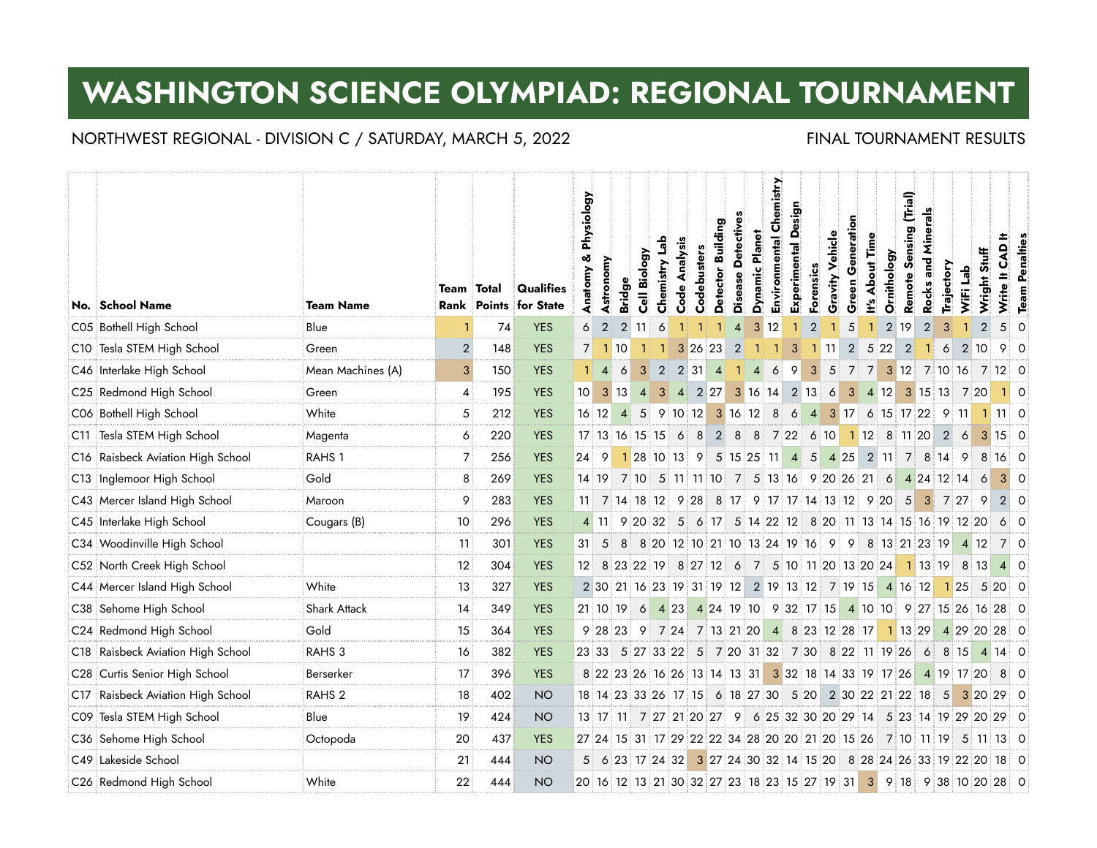# **WASHINGTON SCIENCE OLYMPIAD: REGIONAL TOURNAMENT**

## NORTHWEST REGIONAL - DIVISION C / SATURDAY, MARCH 5, 2022 FINAL TOURNAMENT RESULTS

|     | No. School Name               | <b>Team Name</b>    | <b>Team Total</b> |     | Qualifies<br>Rank Points for State | & Physiology<br>Anatomy | Astronomy      | <b>Bridge</b>  | Cell Biology   | Chemistry Lab                                                  | Code Analysis | Codebusters                                    | Detector Building                 | Disease Detectives | <b>Dynamic Planet</b> | Chemistry<br>Environmental | Experimental Design | Forensics      | Vehicle<br>Gravity | Generation<br>Green | <b>About Time</b><br>$\stackrel{\circ}{\equiv}$ | Ornithology    | (Trial)<br>Sensing<br>Remote | Minerals<br>Rocks and | Trajectory     | WiFi Lab            | Stuff<br>Wright<br>X | CAD <sup>H</sup><br>Write It                                         | <b>Team Penalties</b> |
|-----|-------------------------------|---------------------|-------------------|-----|------------------------------------|-------------------------|----------------|----------------|----------------|----------------------------------------------------------------|---------------|------------------------------------------------|-----------------------------------|--------------------|-----------------------|----------------------------|---------------------|----------------|--------------------|---------------------|-------------------------------------------------|----------------|------------------------------|-----------------------|----------------|---------------------|----------------------|----------------------------------------------------------------------|-----------------------|
|     | C05 Bothell High School       | Blue                |                   | 74  | <b>YES</b>                         | 6                       | $\overline{2}$ | 2              | -11            | 6                                                              |               |                                                |                                   | $\overline{4}$     | 3 <sup>1</sup>        | 12                         |                     | $\overline{2}$ | $\blacksquare$     | 5                   |                                                 | $\overline{2}$ | 19                           | $\mathbf{2}$          | 3              |                     | $\overline{2}$       | 5 <sup>1</sup>                                                       | $\circ$               |
|     | C10 Tesla STEM High School    | Green               | $\overline{2}$    | 148 | <b>YES</b>                         |                         |                | 7 1 10         |                |                                                                |               | 1 3 26 23                                      |                                   | $\vert$ 2          |                       |                            | 3                   |                | $1 \, 11$          | 2 <sup>1</sup>      |                                                 | 5 22           | $\overline{2}$               |                       | 6              |                     | 2 10                 | 90                                                                   |                       |
|     | C46 Interlake High School     | Mean Machines (A)   | 3                 | 150 | <b>YES</b>                         |                         | $\overline{4}$ | 6              | $\mathbf{3}$   | $\overline{2}$                                                 |               | $2 \mid 31 \mid$                               | $\vert$ 4                         | $\blacksquare$     | $\vert$ 4             | 6                          | 9                   | 3 <sup>1</sup> | $5\phantom{.0}$    | $\overline{7}$      |                                                 |                |                              |                       |                |                     |                      | 7 3 12 7 10 16 7 12 0                                                |                       |
|     | C25 Redmond High School       | Green               | 4                 | 195 | <b>YES</b>                         | 10 <sub>1</sub>         |                | $3 \mid 13$    | $\overline{4}$ |                                                                |               | 3 4 2 27 3 16 14 2 13                          |                                   |                    |                       |                            |                     |                | 6                  |                     |                                                 |                |                              |                       |                | 3 4 12 3 15 13 7 20 |                      | 110                                                                  |                       |
|     | C06 Bothell High School       | White               | 5                 | 212 | <b>YES</b>                         |                         | $16 \, 12$     | $\overline{4}$ |                | $5$ 9 10 12                                                    |               |                                                | $3 \ 16 \ 12 \ 8$                 |                    |                       |                            | 6                   |                |                    |                     |                                                 |                |                              |                       |                |                     |                      | 4 3 17 6 15 17 22 9 11 1 11 0                                        |                       |
| C11 | Tesla STEM High School        | Magenta             | 6                 | 220 | <b>YES</b>                         |                         |                |                |                | 17 13 16 15 15 6 8 2 8 8 7 22 6 10 1 12 8 11 20                |               |                                                |                                   |                    |                       |                            |                     |                |                    |                     |                                                 |                |                              |                       | $\overline{2}$ | 6                   |                      | $3 \ 15 \ 0$                                                         |                       |
| C16 | Raisbeck Aviation High School | RAHS <sub>1</sub>   | 7                 | 256 | <b>YES</b>                         | 24 <sup>2</sup>         | - 9            |                |                | 1 28 10 13 9                                                   |               |                                                | 5 15 25 11 4 5 4 25 2 11 7 8 14 9 |                    |                       |                            |                     |                |                    |                     |                                                 |                |                              |                       |                |                     |                      | 8 16 0                                                               |                       |
|     | C13 Inglemoor High School     | Gold                | 8                 | 269 | <b>YES</b>                         |                         |                |                |                | 14 19 7 10 5 11 11 10 7 5 13 16 9 20 26 21 6 4 24 12 14        |               |                                                |                                   |                    |                       |                            |                     |                |                    |                     |                                                 |                |                              |                       |                |                     | 6                    | $3 \mid 0$                                                           |                       |
|     | C43 Mercer Island High School | Maroon              | 9                 | 283 | <b>YES</b>                         |                         |                |                |                | 11 7 14 18 12 9 28 8 17 9 17 17 14 13 12 9 20                  |               |                                                |                                   |                    |                       |                            |                     |                |                    |                     |                                                 |                |                              |                       |                | 5 3 7 27 9          |                      | $2 \mid 0$                                                           |                       |
|     | C45 Interlake High School     | Cougars (B)         | 10                | 296 | <b>YES</b>                         |                         | 4 11           |                | 9 20 32        |                                                                |               | 5 6 17 5 14 22 12 8 20 11 13 14 15 16 19 12 20 |                                   |                    |                       |                            |                     |                |                    |                     |                                                 |                |                              |                       |                |                     |                      | $6 \mid 0$                                                           |                       |
|     | C34 Woodinville High School   |                     | 11                | 301 | <b>YES</b>                         |                         | $31 \quad 5$   | 8 <sup>1</sup> |                | 8 20 12 10 21 10 13 24 19 16 9 9 8 13 21 23 19                 |               |                                                |                                   |                    |                       |                            |                     |                |                    |                     |                                                 |                |                              |                       |                | 4 12                |                      | 70                                                                   |                       |
|     | C52 North Creek High School   |                     | 12                | 304 | <b>YES</b>                         |                         |                |                |                | 12 8 23 22 19 8 27 12 6 7 5 10 11 20 13 20 24                  |               |                                                |                                   |                    |                       |                            |                     |                |                    |                     |                                                 |                | 1 13 19                      |                       |                | 8 13                |                      | $4 \times 0$                                                         |                       |
|     | C44 Mercer Island High School | White               | 13                | 327 | <b>YES</b>                         |                         |                |                |                | 2 30 21 16 23 19 31 19 12 2 19 13 12 7 19 15 4 16 12 1 25      |               |                                                |                                   |                    |                       |                            |                     |                |                    |                     |                                                 |                |                              |                       |                |                     | 5 <sup>5</sup>       | $20\degree$ 0                                                        |                       |
|     | C38 Sehome High School        | <b>Shark Attack</b> | 14                | 349 | <b>YES</b>                         |                         |                |                |                |                                                                |               |                                                |                                   |                    |                       |                            |                     |                |                    |                     |                                                 |                |                              |                       |                |                     |                      | 21 10 19 6 4 23 4 24 19 10 9 32 17 15 4 10 10 9 27 15 26 16 28 0     |                       |
|     | C24 Redmond High School       | Gold                | 15                | 364 | <b>YES</b>                         |                         |                |                |                |                                                                |               |                                                |                                   |                    |                       |                            |                     |                |                    |                     |                                                 |                |                              |                       |                |                     |                      | 9 28 23 9 7 24 7 13 21 20 4 8 23 12 28 17 1 13 29 4 29 20 28 0       |                       |
| C18 | Raisbeck Aviation High School | RAHS <sub>3</sub>   | 16                | 382 | <b>YES</b>                         |                         |                |                |                | 23 33 5 27 33 22 5 7 20 31 32 7 30 8 22 11 19 26 6             |               |                                                |                                   |                    |                       |                            |                     |                |                    |                     |                                                 |                |                              |                       |                |                     |                      | 8 15 4 14 0                                                          |                       |
|     | C28 Curtis Senior High School | Berserker           | 17                | 396 | <b>YES</b>                         |                         |                |                |                | 8 22 23 26 16 26 13 14 13 31 3 32 18 14 33 19 17 26 4 19 17 20 |               |                                                |                                   |                    |                       |                            |                     |                |                    |                     |                                                 |                |                              |                       |                |                     |                      | 80                                                                   |                       |
| C17 | Raisbeck Aviation High School | RAHS <sub>2</sub>   | 18                | 402 | <b>NO</b>                          |                         |                |                |                | 18 14 23 33 26 17 15 6 18 27 30 5 20 2 30 22 21 22 18 5 3 20   |               |                                                |                                   |                    |                       |                            |                     |                |                    |                     |                                                 |                |                              |                       |                |                     |                      | 29 0                                                                 |                       |
|     | CO9 Tesla STEM High School    | Blue                | 19                | 424 | <b>NO</b>                          |                         |                |                |                |                                                                |               |                                                |                                   |                    |                       |                            |                     |                |                    |                     |                                                 |                |                              |                       |                |                     |                      | 13 17 11 7 27 21 20 27 9 6 25 32 30 20 29 14 5 23 14 19 29 20 29 0   |                       |
|     | C36 Sehome High School        | Octopoda            | 20                | 437 | <b>YES</b>                         |                         |                |                |                |                                                                |               |                                                |                                   |                    |                       |                            |                     |                |                    |                     |                                                 |                |                              |                       |                |                     |                      | 27 24 15 31 17 29 22 22 34 28 20 20 21 20 15 26 7 10 11 19 5 11 13 0 |                       |
|     | C49 Lakeside School           |                     | 21                | 444 | <b>NO</b>                          |                         |                |                |                | 5 6 23 17 24 32 3 27 24 30 32 14 15 20 8 28 24 26 33 19 22 20  |               |                                                |                                   |                    |                       |                            |                     |                |                    |                     |                                                 |                |                              |                       |                |                     |                      | 18 O                                                                 |                       |
|     | C26 Redmond High School       | White               | 22                | 444 | <b>NO</b>                          |                         |                |                |                |                                                                |               |                                                |                                   |                    |                       |                            |                     |                |                    |                     |                                                 |                |                              |                       |                |                     |                      | 20 16 12 13 21 30 32 27 23 18 23 15 27 19 31 3 9 18 9 38 10 20 28 0  |                       |